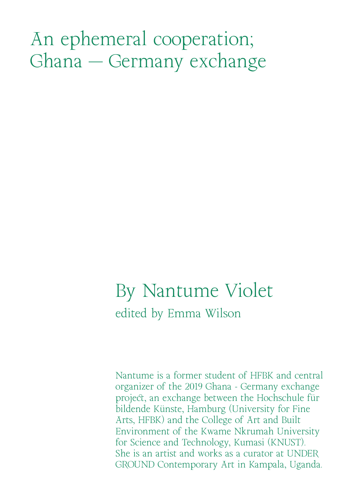# An ephemeral cooperation; Ghana - Germany exchange

# By Nantume Violet edited by Emma Wilson

Nantume is a former student of HFBK and central organizer of the 2019 Ghana - Germany exchange project, an exchange between the Hochschule für bildende Künste, Hamburg (University for Fine Arts, HFBK) and the College of Art and Built Environment of the Kwame Nkrumah University for Science and Technology, Kumasi (KNUST). She is an artist and works as a curator at UNDER GROUND Contemporary Art in Kampala, Uganda.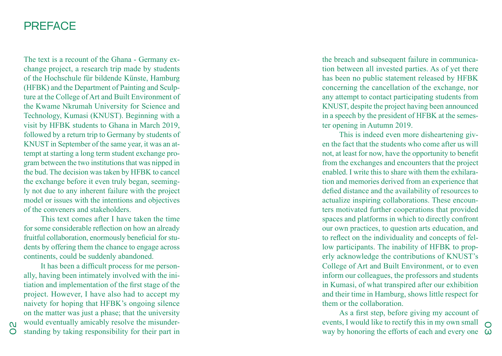## **PREFACE**

The text is a recount of the Ghana - Germany ex change project, a research trip made by students of the Hochschule für bildende Künste, Hamburg (HFBK) and the Department of Painting and Sculp ture at the College of Art and Built Environment of the Kwame Nkrumah University for Science and Technology, Kumasi (KNUST). Beginning with a visit by HFBK students to Ghana in March 2019, followed by a return trip to Germany by students of KNUST in September of the same year, it was an at tempt at starting a long term student exchange pro gram between the two institutions that was nipped in the bud. The decision was taken by HFBK to cancel the exchange before it even truly began, seeming ly not due to any inherent failure with the project model or issues with the intentions and objectives of the conveners and stakeholders.

This text comes after I have taken the time for some considerable reflection on how an already fruitful collaboration, enormously beneficial for stu dents by offering them the chance to engage across continents, could be suddenly abandoned.

It has been a difficult process for me person ally, having been intimately involved with the ini tiation and implementation of the first stage of the project. However, I have also had to accept my naivety for hoping that HFBK's ongoing silence on the matter was just a phase; that the university would eventually amicably resolve the misunder standing by taking responsibility for their part in

the breach and subsequent failure in communica tion between all invested parties. As of yet there has been no public statement released by HFBK concerning the cancellation of the exchange, nor any attempt to contact participating students from KNUST, despite the project having been announced in a speech by the president of HFBK at the semes ter opening in Autumn 2019.

This is indeed even more disheartening given the fact that the students who come after us will not, at least for now, have the opportunity to benefit from the exchanges and encounters that the project enabled. I write this to share with them the exhilara tion and memories derived from an experience that defied distance and the availability of resources to actualize inspiring collaborations. These encoun ters motivated further cooperations that provided spaces and platforms in which to directly confront our own practices, to question arts education, and to reflect on the individuality and concepts of fel low participants. The inability of HFBK to properly acknowledge the contributions of KNUST's College of Art and Built Environment, or to even inform our colleagues, the professors and students in Kumasi, of what transpired after our exhibition and their time in Hamburg, shows little respect for them or the collaboration.

way by honoring the efforts of each and every one  $\omega$ As a first step, before giving my account of events, I would like to rectify this in my own small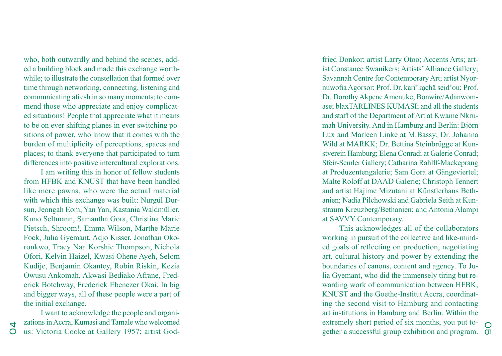who, both outwardly and behind the scenes, add ed a building block and made this exchange worth while; to illustrate the constellation that formed over time through networking, connecting, listening and communicating afresh in so many moments; to com mend those who appreciate and enjoy complicat ed situations! People that appreciate what it means to be on ever shifting planes in ever switching po sitions of power, who know that it comes with the burden of multiplicity of perceptions, spaces and places; to thank everyone that participated to turn differences into positive intercultural explorations.

I am writing this in honor of fellow students from HFBK and KNUST that have been handled like mere pawns, who were the actual material with which this exchange was built: Nurgül Dur sun, Jeongah Eom, Yan Yan, Kastania Waldmüller, Kuno Seltmann, Samantha Gora, Christina Marie Pietsch, Shroom!, Emma Wilson, Marthe Marie Fock, Julia Gyemant, Adjo Kisser, Jonathan Oko ronkwo, Tracy Naa Korshie Thompson, Nichola Ofori, Kelvin Haizel, Kwasi Ohene Ayeh, Selom Kudije, Benjamin Okantey, Robin Riskin, Kezia Owusu Ankomah, Akwasi Bediako Afrane, Fred erick Botchway, Frederick Ebenezer Okai. In big and bigger ways, all of these people were a part of the initial exchange.

I want to acknowledge the people and organi zations in Accra, Kumasi and Tamale who welcomed us: Victoria Cooke at Gallery 1957; artist God -

04

fried Donkor; artist Larry Otoo; Accents Arts; artist Constance Swanikers; Artists' Alliance Gallery; Savannah Centre for Contemporary Art; artist Nyor nuwofia Agorsor; Prof. Dr. karî'kạchä seid'ou; Prof. Dr. Dorothy Akpene Amenuke; Bonwire/Adanwom ase; blaxTARLINES KUMASI; and all the students and staff of the Department of Art at Kwame Nkru mah University. And in Hamburg and Berlin: Björn Lux and Marleen Linke at M.Bassy; Dr. Johanna Wild at MARKK; Dr. Bettina Steinbrügge at Kun stverein Hamburg; Elena Conradi at Galerie Conrad; Sfeir-Semler Gallery; Catharina Rahlff-Mackeprang at Produzentengalerie; Sam Gora at Gängeviertel; Malte Roloff at DAAD Galerie; Christoph Tennert and artist Hajime Mizutani at Künstlerhaus Beth anien; Nadia Pilchowski and Gabriela Seith at Kun straum Kreuzberg/Bethanien; and Antonia Alampi at SAVVY Contemporary.

exuellery short period of six months, you put to-<br>gether a successful group exhibition and program.  $\sigma$ This acknowledges all of the collaborators working in pursuit of the collective and like-mind ed goals of reflecting on production, negotiating art, cultural history and power by extending the boundaries of canons, content and agency. To Ju lia Gyemant, who did the immensely tiring but rewarding work of communication between HFBK, KNUST and the Goethe-Institut Accra, coordinat ing the second visit to Hamburg and contacting art institutions in Hamburg and Berlin. Within the extremely short period of six months, you put to-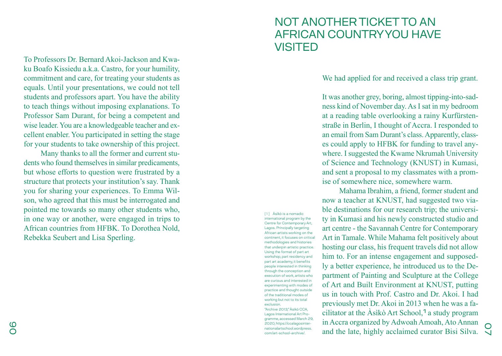To Professors Dr. Bernard Akoi-Jackson and Kwa ku Boafo Kissiedu a.k.a. Castro, for your humility, commitment and care, for treating your students as equals. Until your presentations, we could not tell students and professors apart. You have the ability to teach things without imposing explanations. To Professor Sam Durant, for being a competent and wise leader. You are a knowledgeable teacher and ex cellent enabler. You participated in setting the stage for your students to take ownership of this project.

Many thanks to all the former and current stu dents who found themselves in similar predicaments, but whose efforts to question were frustrated by a structure that protects your institution's say. Thank you for sharing your experiences. To Emma Wil son, who agreed that this must be interrogated and pointed me towards so many other students who, in one way or another, were engaged in trips to African countries from HFBK. To Dorothea Nold, Rebekka Seubert and Lisa Sperling.

# NOT ANOTHER TICKET TO AN AFRICAN COUNTRY YOU HAVE VISITED

We had applied for and received a class trip grant.

It was another grey, boring, almost tipping-into-sad ness kind of November day. As I sat in my bedroom at a reading table overlooking a rainy Kurfürsten straße in Berlin, I thought of Accra. I responded to an email from Sam Durant's class. Apparently, class es could apply to HFBK for funding to travel any where. I suggested the Kwame Nkrumah University of Science and Technology (KNUST) in Kumasi, and sent a proposal to my classmates with a prom ise of somewhere nice, somewhere warm.

and the late, highly acclaimed curator Bisi Silva. Mahama Ibrahim, a friend, former student and now a teacher at KNUST, had suggested two via ble destinations for our research trip; the universi ty in Kumasi and his newly constructed studio and art centre - the Savannah Centre for Contemporary Art in Tamale. While Mahama felt positively about hosting our class, his frequent travels did not allow him to. For an intense engagement and supposed ly a better experience, he introduced us to the De partment of Painting and Sculpture at the College of Art and Built Environment at KNUST, putting us in touch with Prof. Castro and Dr. Akoi. I had previously met Dr. Akoi in 2013 when he was a fa cilitator at the Àsìkò Art School, 1 a study program in Accra organized by Adwoah Amoah, Ato Annan

[1] Àsìkò is a nomadic international program by the Centre for Contemporary Art, Lagos. Principally targeting African artists working on the continent, it focuses on critical methodologies and histories that underpin artistic practice. Using the format of part art workshop, part residency and part art academy, it benefits people interested in thinking through the conception and execution of work, artists who are curious and interested in experimenting with modes of practice and thought outside of the traditional modes of working but not to its total exclusion. "Archive 2013," Àsìkò CCA, Lagos International Art Pro gramme, accessed March 29, 2020, https://ccalagosinter nationalartschool.wordpress. com/art-school-archive/.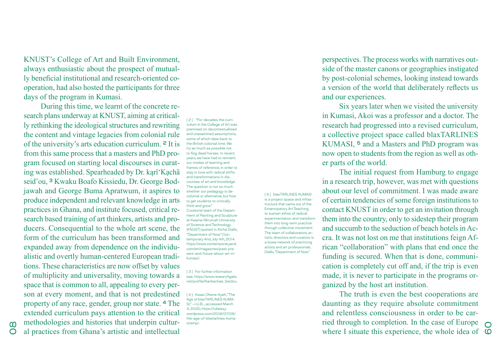KNUST's College of Art and Built Environment, always enthusiastic about the prospect of mutually beneficial institutional and research-oriented cooperation, had also hosted the participants for three days of the program in Kumasi.

During this time, we learnt of the concrete research plans underway at KNUST, aiming at critically rethinking the ideological structures and rewriting the content and vintage legacies from colonial rule of the university's arts education curriculum. 2 It is from this same process that a masters and PhD program focused on starting local discourses in curating was established. Spearheaded by Dr. kąrî'Kạchä seid'ou, 3 Kwaku Boafo Kissiedu, Dr. George Bodjawah and George Buma Apratwum, it aspires to produce independent and relevant knowledge in arts practices in Ghana, and institute focused, critical research based training of art thinkers, artists and producers. Consequential to the whole art scene, the form of the curriculum has been transformed and expanded away from dependence on the individualistic and overtly human-centered European traditions. These characteristics are now offset by values of multiplicity and universality, moving towards a space that is common to all, appealing to every person at every moment, and that is not predestined property of any race, gender, group nor state. 4 The extended curriculum pays attention to the critical methodologies and histories that underpin cultural practices from Ghana's artistic and intellectual

[2] "For decades the curriculum in the College of Art was premised on decontextualised and unexamined assumptions, some of which date back to the British colonial time. We try as much as possible not to flog dead horses. In recent years, we have had to reinvent our modes of learning and frames of reference, in order to stay in tune with radical shifts and transformations in discourses of art and knowledge. The question is not so much whether our pedagogy is decolonial or alternative, but how to get students to critically think and grow." Curatorial team of the Department of Painting and Sculpture at Kwame Nkrumah University of Science and Technology (KNUST) quoted in Aïcha Diallo, "Department of Now." Contemporary And, July 4th, 2014. https://www.contemporaryand. com/en/magazines/past-present-and-future-about-art-inkumasi/.

[5] blaxTARLINES KUMASI is a project space and infrastructure that came out of the Emancipatory Art Teaching to sustain ethos of radical experimentation and transform them into long-term practice through collective movement. The team of collaborators, artistic directors and curators is a loose network of practicing artists and art professionals. Diallo, "Department of Now."

[3] For further information see: https://www.researchgate. net/profile/Karikachae\_Seidou.

[4] Kwasi Ohene-Ayeh, "The Age of blaxTARLINES KUMA-SI," —I.U.B…, accessed March 4, 2020, https://iubeezy. wordpress.com/2018/07/05/ the-age-of-blaxtarlines-kumasi/amp/.

perspectives. The process works with narratives outside of the master canons or geographies instigated by post-colonial schemes, looking instead towards a version of the world that deliberately reflects us and our experiences.

Six years later when we visited the university in Kumasi, Akoi was a professor and a doctor. The research had progressed into a revised curriculum, a collective project space called blaxTARLINES KUMASI, <sup>5</sup> and a Masters and PhD program was now open to students from the region as well as other parts of the world.

The initial request from Hamburg to engage in a research trip, however, was met with questions about our level of commitment. I was made aware of certain tendencies of some foreign institutions to contact KNUST in order to get an invitation through them into the country, only to sidestep their program and succumb to the seduction of beach hotels in Accra. It was not lost on me that institutions feign African "collaboration" with plans that end once the funding is secured. When that is done, communication is completely cut off and, if the trip is even made, it is never to participate in the programs organized by the host art institution.

where I situate this experience, the whole idea of  $\heartsuit$ <br>where I situate this experience, the whole idea of  $\heartsuit$ The truth is even the best cooperations are daunting as they require absolute commitment and relentless consciousness in order to be carried through to completion. In the case of Europe  $\bigcap$ 

 $\infty$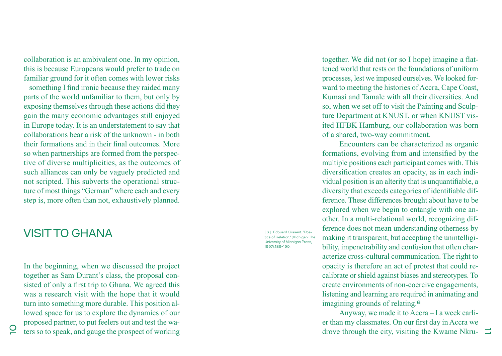collaboration is an ambivalent one. In my opinion, this is because Europeans would prefer to trade on familiar ground for it often comes with lower risks – something I find ironic because they raided many parts of the world unfamiliar to them, but only by exposing themselves through these actions did they gain the many economic advantages still enjoyed in Europe today. It is an understatement to say that collaborations bear a risk of the unknown - in both their formations and in their final outcomes. More so when partnerships are formed from the perspec tive of diverse multiplicities, as the outcomes of such alliances can only be vaguely predicted and not scripted. This subverts the operational struc ture of most things "German" where each and every step is, more often than not, exhaustively planned.

## VISIT TO GHANA

In the beginning, when we discussed the project together as Sam Durant's class, the proposal con sisted of only a first trip to Ghana. We agreed this was a research visit with the hope that it would turn into something more durable. This position al lowed space for us to explore the dynamics of our proposed partner, to put feelers out and test the wa ters so to speak, and gauge the prospect of working

[6] Edouard Glissant. "Poe-.<br>tics of Relation." (Michigan: The University of Michigan Press, 1997), 189-190.

together. We did not (or so I hope) imagine a flat tened world that rests on the foundations of uniform processes, lest we imposed ourselves. We looked for ward to meeting the histories of Accra, Cape Coast, Kumasi and Tamale with all their diversities. And so, when we set off to visit the Painting and Sculp ture Department at KNUST, or when KNUST vis ited HFBK Hamburg, our collaboration was born of a shared, two-way commitment.

Encounters can be characterized as organic formations, evolving from and intensified by the multiple positions each participant comes with. This diversification creates an opacity, as in each individual position is an alterity that is unquantifiable, a diversity that exceeds categories of identifiable difference. These differences brought about have to be explored when we begin to entangle with one an other. In a multi-relational world, recognizing difference does not mean understanding otherness by making it transparent, but accepting the unintelligibility, impenetrability and confusion that often characterize cross-cultural communication. The right to opacity is therefore an act of protest that could re calibrate or shield against biases and stereotypes. To create environments of non-coercive engagements, listening and learning are required in animating and imagining grounds of relating. 6

drove through the city, visiting the Kwame Nkru- $\Box$ Anyway, we made it to Accra – I a week earli er than my classmates. On our first day in Accra we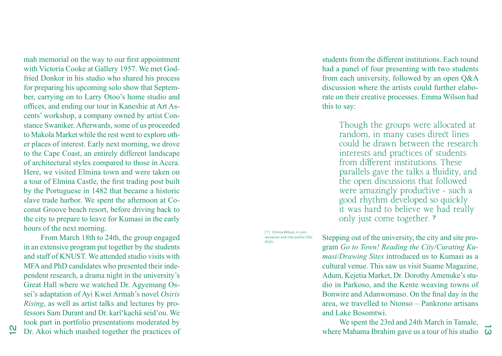mah memorial on the way to our first appointment with Victoria Cooke at Gallery 1957. We met God fried Donkor in his studio who shared his process for preparing his upcoming solo show that Septem ber, carrying on to Larry Otoo's home studio and offices, and ending our tour in Kaneshie at Art As cents' workshop, a company owned by artist Con stance Swaniker. Afterwards, some of us proceeded to Makola Market while the rest went to explore oth er places of interest. Early next morning, we drove to the Cape Coast, an entirely different landscape of architectural styles compared to those in Accra. Here, we visited Elmina town and were taken on a tour of Elmina Castle, the first trading post built by the Portuguese in 1482 that became a historic slave trade harbor. We spent the afternoon at Co conut Groove beach resort, before driving back to the city to prepare to leave for Kumasi in the early hours of the next morning.

From March 18th to 24th, the group engaged in an extensive program put together by the students and staff of KNUST. We attended studio visits with MFA and PhD candidates who presented their inde pendent research, a drama night in the university's Great Hall where we watched Dr. Agyemang Os sei's adaptation of Ayi Kwei Armah's novel *Osiris Rising*, as well as artist talks and lectures by pro fessors Sam Durant and Dr. karî'kạchä seid'ou. We took part in portfolio presentations moderated by Dr. Akoi which mashed together the practices of

students from the different institutions. Each round had a panel of four presenting with two students from each university, followed by an open Q&A discussion where the artists could further elabo rate on their creative processes. Emma Wilson had this to say:

> Though the groups were allocated at random, in many cases direct lines could be drawn between the research interests and practices of students from different institutions. These parallels gave the talks a fluidity, and the open discussions that followed were amazingly productive - such a good rhythm developed so quickly it was hard to believe we had really only just come together. 7

[7] Emma Wilson, in conversation with the author, Feb 2021.

Stepping out of the university, the city and site pro gram *Go to Town! Reading the City/Curating Ku masi/Drawing Sites* introduced us to Kumasi as a cultural venue. This saw us visit Suame Magazine, Adum, Kejetia Market, Dr. Dorothy Amenuke's stu dio in Parkoso, and the Kente weaving towns of Bonwire and Adanwomaso. On the final day in the area, we travelled to Ntonso – Pankrono artisans and Lake Bosomtwi.

where Mahama Ibrahim gave us a tour of his studio  $\overrightarrow{\omega}$ We spent the 23rd and 24th March in Tamale,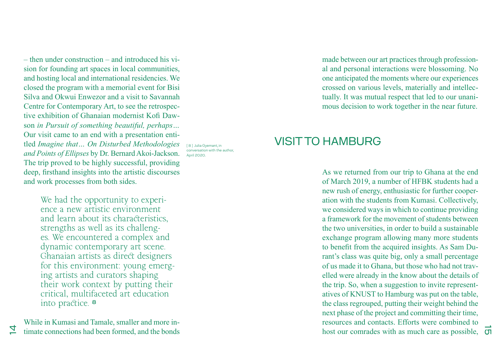– then under construction – and introduced his vision for founding art spaces in local communities, and hosting local and international residencies. We closed the program with a memorial event for Bisi Silva and Okwui Enwezor and a visit to Savannah Centre for Contemporary Art, to see the retrospective exhibition of Ghanaian modernist Kofi Dawson *in Pursuit of something beautiful, perhaps…*  Our visit came to an end with a presentation entitled *Imagine that… On Disturbed Methodologies and Points of Ellipses* by Dr. Bernard Akoi-Jackson. The trip proved to be highly successful, providing deep, firsthand insights into the artistic discourses and work processes from both sides.

> We had the opportunity to experience a new artistic environment and learn about its characteristics, strengths as well as its challenges. We encountered a complex and dynamic contemporary art scene. Ghanaian artists as direct designers for this environment: young emerging artists and curators shaping their work context by putting their critical, multifaceted art education into practice. 8

While in Kumasi and Tamale, smaller and more intimate connections had been formed, and the bonds

 $\overline{4}$ 

conversation with the author, April 2020.

made between our art practices through professional and personal interactions were blossoming. No one anticipated the moments where our experiences crossed on various levels, materially and intellectually. It was mutual respect that led to our unanimous decision to work together in the near future.

# **In Julia Gyemant, in Allia Gyemant, in**

host our comrades with as much care as possible,  $\overrightarrow{G}$ As we returned from our trip to Ghana at the end of March 2019, a number of HFBK students had a new rush of energy, enthusiastic for further cooperation with the students from Kumasi. Collectively, we considered ways in which to continue providing a framework for the movement of students between the two universities, in order to build a sustainable exchange program allowing many more students to benefit from the acquired insights. As Sam Durant's class was quite big, only a small percentage of us made it to Ghana, but those who had not travelled were already in the know about the details of the trip. So, when a suggestion to invite representatives of KNUST to Hamburg was put on the table, the class regrouped, putting their weight behind the next phase of the project and committing their time, resources and contacts. Efforts were combined to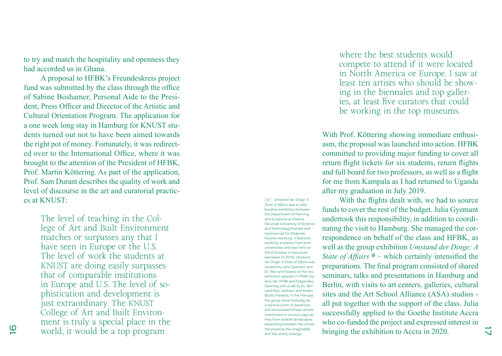to try and match the hospitality and openness they had accorded us in Ghana.

A proposal to HFBK's Freundeskreis project fund was submitted by the class through the office of Sabine Boshamer, Personal Aide to the Presi dent, Press Officer and Director of the Artistic and Cultural Orientation Program. The application for a one week long stay in Hamburg for KNUST stu dents turned out not to have been aimed towards the right pot of money. Fortunately, it was redirect ed over to the International Office, where it was brought to the attention of the President of HFBK, Prof. Martin Köttering. As part of the application, Prof. Sam Durant describes the quality of work and level of discourse in the art and curatorial practic es at KNUST:

> The level of teaching in the Col lege of Art and Built Environment matches or surpasses any that I have seen in Europe or the U.S. The level of work the students at KNUST are doing easily surpasses that of comparable institutions in Europe and U.S. The level of so phistication and development is just extraordinary. The KNUST College of Art and Built Environ ment is truly a special place in the world, it would be a top program

[ 9 ] *Umstand der Dinge: A State of Affairs* was a colla borative exhibition between the Department of Painting and Sculpture at Kwame Nkrumah University of Science and Technology Kumasi and Hochschule für Bildende Künste Hamburg. It featured works by students from both universities and was held on 23rd October in the winter semester of 2019. *Umstand der Dinge: A State of Affairs* was curated by Julia Gyemant and Dr. Akoi and hosted at the two exhibition spaces in HFBK, Galerie der HFBK and Folgendes. Opening with a talk by Dr. Ber nard Akoi-Jackson and Kwaku Boafo Kissiedu in the Hörsaal, the group show took play as a serious point of departure and showcased fifteen artists intertwined in curious ways as they form volatile landscapes expanding between the virtual, the physical, the imaginable and the utterly strange.

where the best students would compete to attend if it were located in North America or Europe. I saw at least ten artists who should be show ing in the biennales and top galler ies, at least five curators that could be working in the top museums.

With Prof. Köttering showing immediate enthusi asm, the proposal was launched into action. HFBK committed to providing major funding to cover all return flight tickets for six students, return flights and full board for two professors, as well as a flight for me from Kampala as I had returned to Uganda after my graduation in July 2019.

With the flights dealt with, we had to source funds to cover the rest of the budget. Julia Gyemant undertook this responsibility, in addition to coordi nating the visit to Hamburg. She managed the cor respondence on behalf of the class and HFBK, as well as the group exhibition *Umstand der Dinge: A State of Affairs*  $9$  – which certainly intensified the preparations. The final program consisted of shared seminars, talks and presentations in Hamburg and Berlin, with visits to art centers, galleries, cultural sites and the Art School Alliance (ASA) studios all put together with the support of the class. Julia successfully applied to the Goethe Institute Accra who co-funded the project and expressed interest in bringing the exhibition to Accra in 2020.

 $\overline{\mathsf{v}}$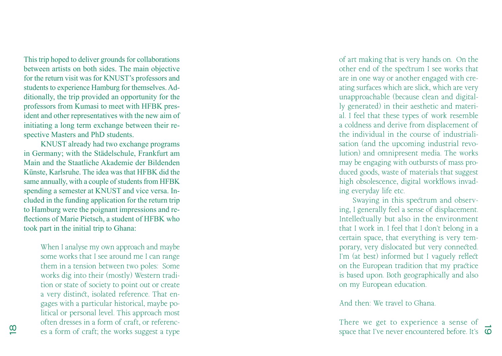This trip hoped to deliver grounds for collaborations between artists on both sides. The main objective for the return visit was for KNUST's professors and students to experience Hamburg for themselves. Ad ditionally, the trip provided an opportunity for the professors from Kumasi to meet with HFBK pres ident and other representatives with the new aim of initiating a long term exchange between their re spective Masters and PhD students.

KNUST already had two exchange programs in Germany; with the Städelschule, Frankfurt am Main and the Staatliche Akademie der Bildenden Künste, Karlsruhe. The idea was that HFBK did the same annually, with a couple of students from HFBK spending a semester at KNUST and vice versa. In cluded in the funding application for the return trip to Hamburg were the poignant impressions and re flections of Marie Pietsch, a student of HFBK who took part in the initial trip to Ghana:

> When I analyse my own approach and maybe some works that I see around me I can range them in a tension between two poles: Some works dig into their (mostly) Western tradi tion or state of society to point out or create a very distinct, isolated reference. That en gages with a particular historical, maybe po litical or personal level. This approach most often dresses in a form of craft, or referenc es a form of craft; the works suggest a type

of art making that is very hands on. On the other end of the spectrum I see works that are in one way or another engaged with cre ating surfaces which are slick, which are very unapproachable (because clean and digital ly generated) in their aesthetic and materi al. I feel that these types of work resemble a coldness and derive from displacement of the individual in the course of industriali sation (and the upcoming industrial revo lution) and omnipresent media. The works may be engaging with outbursts of mass pro duced goods, waste of materials that suggest high obsolescence, digital workflows invad ing everyday life etc.

Swaying in this spectrum and observ ing, I generally feel a sense of displacement. Intellectually but also in the environment that I work in. I feel that I don't belong in a certain space, that everything is very tem porary, very dislocated but very connected. I'm (at best) informed but I vaguely reflect on the European tradition that my practice is based upon. Both geographically and also on my European education.

And then: We travel to Ghana.

space that I've never encountered before. It's There we get to experience a sense of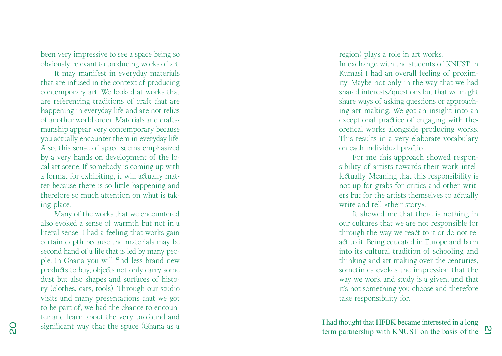been very impressive to see a space being so obviously relevant to producing works of art. It may manifest in everyday materials that are infused in the context of producing contemporary art. We looked at works that are referencing traditions of craft that are happening in everyday life and are not relics of another world order. Materials and crafts manship appear very contemporary because you actually encounter them in everyday life. Also, this sense of space seems emphasized by a very hands on development of the lo cal art scene. If somebody is coming up with a format for exhibiting, it will actually mat ter because there is so little happening and therefore so much attention on what is tak ing place.

Many of the works that we encountered also evoked a sense of warmth but not in a literal sense. I had a feeling that works gain certain depth because the materials may be second hand of a life that is led by many peo ple. In Ghana you will find less brand new products to buy, objects not only carry some dust but also shapes and surfaces of histo ry (clothes, cars, tools). Through our studio visits and many presentations that we got to be part of, we had the chance to encoun ter and learn about the very profound and significant way that the space (Ghana as a

region) plays a role in art works. In exchange with the students of KNUST in Kumasi I had an overall feeling of proxim ity. Maybe not only in the way that we had shared interests/questions but that we might share ways of asking questions or approach ing art making. We got an insight into an exceptional practice of engaging with the oretical works alongside producing works. This results in a very elaborate vocabulary on each individual practice.

For me this approach showed respon sibility of artists towards their work intel lectually. Meaning that this responsibility is not up for grabs for critics and other writ ers but for the artists themselves to actually write and tell »their story«.

It showed me that there is nothing in our cultures that we are not responsible for through the way we react to it or do not re act to it. Being educated in Europe and born into its cultural tradition of schooling and thinking and art making over the centuries, sometimes evokes the impression that the way we work and study is a given, and that it's not something you choose and therefore take responsibility for.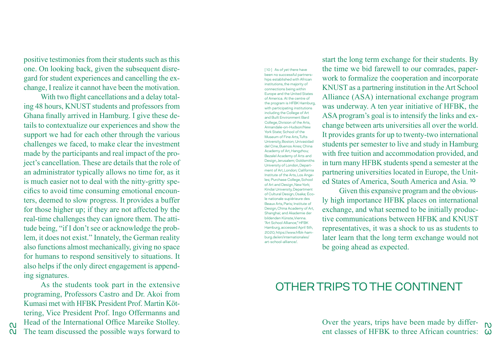positive testimonies from their students such as this one. On looking back, given the subsequent disre gard for student experiences and cancelling the ex change, I realize it cannot have been the motivation.

With two flight cancellations and a delay total ing 48 hours, KNUST students and professors from Ghana finally arrived in Hamburg. I give these de tails to contextualize our experiences and show the support we had for each other through the various challenges we faced, to make clear the investment made by the participants and real impact of the pro ject's cancellation. These are details that the role of an administrator typically allows no time for, as it is much easier not to deal with the nitty-gritty spe cifics to avoid time consuming emotional encoun ters, deemed to slow progress. It provides a buffer for those higher up; if they are not affected by the real-time challenges they can ignore them. The atti tude being, "if I don't see or acknowledge the prob lem, it does not exist." Innately, the German reality also functions almost mechanically, giving no space for humans to respond sensitively to situations. It also helps if the only direct engagement is append ing signatures.

As the students took part in the extensive programing, Professors Castro and Dr. Akoi from Kumasi met with HFBK President Prof. Martin Köt tering, Vice President Prof. Ingo Offermanns and Head of the International Office Mareike Stolley. The team discussed the possible ways forward to [10] As of yet there have been no successful partners hips established with African institutions, the majority of connections being within Europe and the United States of America. At the centre of the program is HFBK Hamburg, with participating institutions including the College of Art and Built Environment Bard College, Division of the Arts, Annandale-on-Hudson/New York State; School of the Museum of Fine Arts, Tufts University, Boston; Univasidad del Cine, Buenos Aires; China Academy of Art, Hangzhou; Bezalel Academy of Arts and Design, Jerusalem; Goldsmiths University of London, Depart ment of Art, London; California Institute of the Arts, Los Ange les; Purchase College, School of Art and Design, New York; Kindai University, Department of Cultural Design, Osaka; Éco le nationale supiérieure des Beaux Arts, Paris; Institute of Design, China Academy of Art, Shanghai; and Akademie der bildenden Künste, Vienna. "Art School Alliance," HFBK Hamburg, accessed April 5th, 2020, https://www.hfbk-ham burg.de/en/internationales/ art-school-alliance/.

start the long term exchange for their students. By the time we bid farewell to our comrades, paper work to formalize the cooperation and incorporate KNUST as a partnering institution in the Art School Alliance (ASA) international exchange program was underway. A ten year initiative of HFBK, the ASA program's goal is to intensify the links and ex change between arts universities all over the world. It provides grants for up to twenty-two international students per semester to live and study in Hamburg with free tuition and accommodation provided, and in turn many HFBK students spend a semester at the partnering universities located in Europe, the Unit ed States of America, South America and Asia. 10

Given this expansive program and the obvious ly high importance HFBK places on international exchange, and what seemed to be initially produc tive communications between HFBK and KNUST representatives, it was a shock to us as students to later learn that the long term exchange would not be going ahead as expected.

# OTHER TRIPS TO THE CONTINENT

 $\frac{2}{3}$  ent classes of HFBK to three African countries:  $\frac{2}{3}$ Over the years, trips have been made by differ -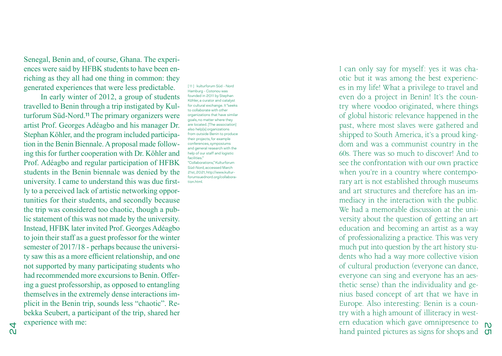Senegal, Benin and, of course, Ghana. The experi ences were said by HFBK students to have been en riching as they all had one thing in common: they generated experiences that were less predictable.

In early winter of 2012, a group of students travelled to Benin through a trip instigated by Kul turforum Süd-Nord.11 The primary organizers were artist Prof. Georges Adéagbo and his manager Dr. Stephan Köhler, and the program included participa tion in the Benin Biennale. A proposal made follow ing this for further cooperation with Dr. Köhler and Prof. Adéagbo and regular participation of HFBK students in the Benin biennale was denied by the university. I came to understand this was due first ly to a perceived lack of artistic networking oppor tunities for their students, and secondly because the trip was considered too chaotic, though a pub lic statement of this was not made by the university. Instead, HFBK later invited Prof. Georges Adéagbo to join their staff as a guest professor for the winter semester of 2017/18 - perhaps because the university saw this as a more efficient relationship, and one not supported by many participating students who had recommended more excursions to Benin. Offer ing a guest professorship, as opposed to entangling themselves in the extremely dense interactions im plicit in the Benin trip, sounds less "chaotic". Re bekka Seubert, a participant of the trip, shared her experience with me:

[11] kulturforum Süd - Nord Hamburg - Cotonou was founded in 2011 by Stephan Köhler, a curator and catalyst for cultural exchange. It "seeks to collaborate with other organizations that have similar goals, no matter where they are located. [The association] also help[s] organizations from outside Benin to produce their projects, for example conferences, symposiums and general research with the help of our staff and logistic facilities." "Collaborations," Kulturforum Süd-Nord, accessed March 21st, 2021, http://www.kultur forumsuednord.org/collabora tion.html.

25 hand painted pictures as signs for shops and I can only say for myself: yes it was cha otic but it was among the best experienc es in my life! What a privilege to travel and even do a project in Benin! It's the coun try where voodoo originated, where things of global historic relevance happened in the past, where most slaves were gathered and shipped to South America, it's a proud king dom and was a communist country in the 60s. There was so much to discover! And to see the confrontation with our own practice when you're in a country where contempo rary art is not established through museums and art structures and therefore has an im mediacy in the interaction with the public. We had a memorable discussion at the university about the question of getting an art education and becoming an artist as a way of professionalizing a practice. This was very much put into question by the art history stu dents who had a way more collective vision of cultural production (everyone can dance, everyone can sing and everyone has an aes thetic sense) than the individuality and ge nius based concept of art that we have in Europe. Also interesting: Benin is a coun try with a high amount of illiteracy in west ern education which gave omnipresence to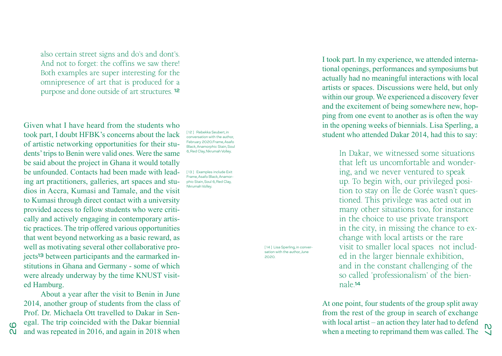also certain street signs and do's and dont's. And not to forget: the coffins we saw there! Both examples are super interesting for the omnipresence of art that is produced for a purpose and done outside of art structures. 12

Given what I have heard from the students who took part, I doubt HFBK's concerns about the lack of artistic networking opportunities for their students' trips to Benin were valid ones. Were the same be said about the project in Ghana it would totally be unfounded. Contacts had been made with leading art practitioners, galleries, art spaces and studios in Accra, Kumasi and Tamale, and the visit to Kumasi through direct contact with a university provided access to fellow students who were critically and actively engaging in contemporary artistic practices. The trip offered various opportunities that went beyond networking as a basic reward, as well as motivating several other collaborative projects13 between participants and the earmarked institutions in Ghana and Germany - some of which were already underway by the time KNUST visited Hamburg.

About a year after the visit to Benin in June 2014, another group of students from the class of Prof. Dr. Michaela Ott travelled to Dakar in Senegal. The trip coincided with the Dakar biennial and was repeated in 2016, and again in 2018 when

26

[12] Rebekka Seubert, in conversation with the author, February 2020.Frame, Asafo Black, Anamorphic Stain, Soul 6, Red Clay, Nkrumah Volley.

[13] Examples include Exit Frame, Asafo Black, Anamorphic Stain, Soul 6, Red Clay, Nkrumah Volley.

> [14] Lisa Sperling, in conversation with the author, June 2020.

I took part. In my experience, we attended international openings, performances and symposiums but actually had no meaningful interactions with local artists or spaces. Discussions were held, but only within our group. We experienced a discovery fever and the excitement of being somewhere new, hopping from one event to another as is often the way in the opening weeks of biennials. Lisa Sperling, a student who attended Dakar 2014, had this to say:

> In Dakar, we witnessed some situations that left us uncomfortable and wondering, and we never ventured to speak up. To begin with, our privileged position to stay on Île de Gorée wasn't questioned. This privilege was acted out in many other situations too, for instance in the choice to use private transport in the city, in missing the chance to exchange with local artists or the rare visit to smaller local spaces not included in the larger biennale exhibition, and in the constant challenging of the so called 'professionalism' of the biennale.14

when a meeting to reprimand them was called. The  $\sqrt{\frac{N}{N}}$ At one point, four students of the group split away from the rest of the group in search of exchange with local artist – an action they later had to defend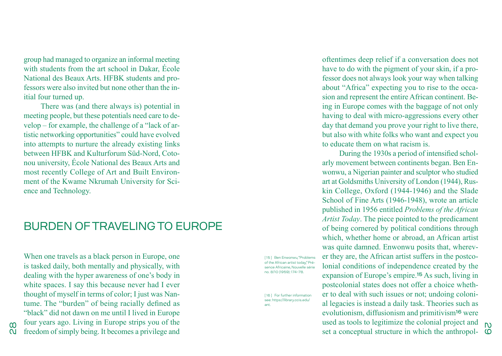group had managed to organize an informal meeting with students from the art school in Dakar, École National des Beaux Arts. HFBK students and professors were also invited but none other than the initial four turned up.

There was (and there always is) potential in meeting people, but these potentials need care to develop – for example, the challenge of a "lack of artistic networking opportunities" could have evolved into attempts to nurture the already existing links between HFBK and Kulturforum Süd-Nord, Cotonou university, École National des Beaux Arts and most recently College of Art and Built Environment of the Kwame Nkrumah University for Science and Technology.

#### BURDEN OF TRAVELING TO EUROPE

When one travels as a black person in Europe, one is tasked daily, both mentally and physically, with dealing with the hyper awareness of one's body in white spaces. I say this because never had I ever thought of myself in terms of color; I just was Nantume. The "burden" of being racially defined as "black" did not dawn on me until I lived in Europe four years ago. Living in Europe strips you of the freedom of simply being. It becomes a privilege and

[15] Ben Enwonwu, "Problems of the African artist today," Présence Africaine, Nouvelle série no. 8/10 (1959): 174-78.

[16] For further information see: https://library.ccis.edu/ ant.

oftentimes deep relief if a conversation does not have to do with the pigment of your skin, if a professor does not always look your way when talking about "Africa" expecting you to rise to the occasion and represent the entire African continent. Being in Europe comes with the baggage of not only having to deal with micro-aggressions every other day that demand you prove your right to live there, but also with white folks who want and expect you to educate them on what racism is.

 $\alpha$  as tools to regriming the colonial project and  $\alpha$  set a conceptual structure in which the anthropol-During the 1930s a period of intensified scholarly movement between continents began. Ben Enwonwu, a Nigerian painter and sculptor who studied art at Goldsmiths University of London (1944), Ruskin College, Oxford (1944-1946) and the Slade School of Fine Arts (1946-1948), wrote an article published in 1956 entitled *Problems of the African Artist Today*. The piece pointed to the predicament of being cornered by political conditions through which, whether home or abroad, an African artist was quite damned. Enwonwu posits that, wherever they are, the African artist suffers in the postcolonial conditions of independence created by the expansion of Europe's empire.15 As such, living in postcolonial states does not offer a choice whether to deal with such issues or not; undoing colonial legacies is instead a daily task. Theories such as evolutionism, diffusionism and primitivism16 were used as tools to legitimize the colonial project and

 $\frac{8}{2}$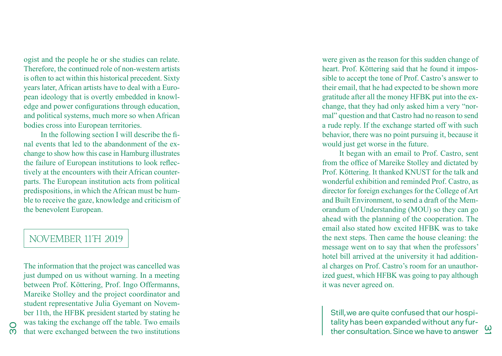ogist and the people he or she studies can relate. Therefore, the continued role of non-western artists is often to act within this historical precedent. Sixty years later, African artists have to deal with a Euro pean ideology that is overtly embedded in knowl edge and power configurations through education, and political systems, much more so when African bodies cross into European territories.

In the following section I will describe the fi nal events that led to the abandonment of the ex change to show how this case in Hamburg illustrates the failure of European institutions to look reflec tively at the encounters with their African counter parts. The European institution acts from political predispositions, in which the African must be hum ble to receive the gaze, knowledge and criticism of the benevolent European.

#### NOVEMBER 11TH 2019

The information that the project was cancelled was just dumped on us without warning. In a meeting between Prof. Köttering, Prof. Ingo Offermanns, Mareike Stolley and the project coordinator and student representative Julia Gyemant on Novem ber 11th, the HFBK president started by stating he was taking the exchange off the table. Two emails that were exchanged between the two institutions

were given as the reason for this sudden change of heart. Prof. Köttering said that he found it impos sible to accept the tone of Prof. Castro's answer to their email, that he had expected to be shown more gratitude after all the money HFBK put into the ex change, that they had only asked him a very "nor mal" question and that Castro had no reason to send a rude reply. If the exchange started off with such behavior, there was no point pursuing it, because it would just get worse in the future.

It began with an email to Prof. Castro, sent from the office of Mareike Stolley and dictated by Prof. Köttering. It thanked KNUST for the talk and wonderful exhibition and reminded Prof. Castro, as director for foreign exchanges for the College of Art and Built Environment, to send a draft of the Mem orandum of Understanding (MOU) so they can go ahead with the planning of the cooperation. The email also stated how excited HFBK was to take the next steps. Then came the house cleaning: the message went on to say that when the professors' hotel bill arrived at the university it had addition al charges on Prof. Castro's room for an unauthor ized guest, which HFBK was going to pay although it was never agreed on.

ther consultation. Since we have to answer  $\mathfrak{L}$ Still, we are quite confused that our hospi tality has been expanded without any fur -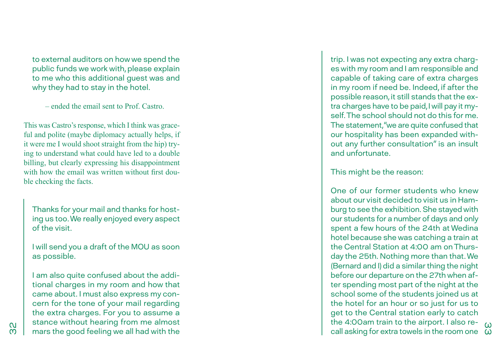to external auditors on how we spend the public funds we work with, please explain to me who this additional guest was and why they had to stay in the hotel.

– ended the email sent to Prof. Castro.

This was Castro's response, which I think was grace ful and polite (maybe diplomacy actually helps, if it were me I would shoot straight from the hip) try ing to understand what could have led to a double billing, but clearly expressing his disappointment with how the email was written without first double checking the facts.

Thanks for your mail and thanks for host ing us too. We really enjoyed every aspect of the visit.

I will send you a draft of the MOU as soon as possible.

I am also quite confused about the addi tional charges in my room and how that came about. I must also express my con cern for the tone of your mail regarding the extra charges. For you to assume a stance without hearing from me almost mars the good feeling we all had with the

trip. I was not expecting any extra charg es with my room and I am responsible and capable of taking care of extra charges in my room if need be. Indeed, if after the possible reason, it still stands that the ex tra charges have to be paid, I will pay it my self. The school should not do this for me. The statement, "we are quite confused that our hospitality has been expanded with out any further consultation" is an insult and unfortunate.

This might be the reason:

call asking for extra towels in the room one  $\omega$ One of our former students who knew about our visit decided to visit us in Ham burg to see the exhibition. She stayed with our students for a number of days and only spent a few hours of the 24th at Wedina hotel because she was catching a train at the Central Station at 4:00 am on Thurs day the 25th. Nothing more than that. We (Bernard and I) did a similar thing the night before our departure on the 27th when af ter spending most part of the night at the school some of the students joined us at the hotel for an hour or so just for us to get to the Central station early to catch the 4:00am train to the airport. I also re -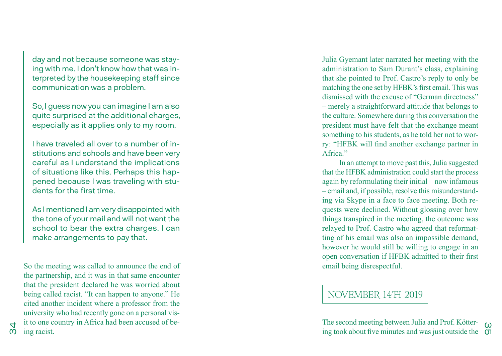day and not because someone was stay ing with me. I don't know how that was in terpreted by the housekeeping staff since communication was a problem.

So, I guess now you can imagine I am also quite surprised at the additional charges, especially as it applies only to my room.

I have traveled all over to a number of in stitutions and schools and have been very careful as I understand the implications of situations like this. Perhaps this hap pened because I was traveling with stu dents for the first time.

As I mentioned I am very disappointed with the tone of your mail and will not want the school to bear the extra charges. I can make arrangements to pay that.

So the meeting was called to announce the end of the partnership, and it was in that same encounter that the president declared he was worried about being called racist. "It can happen to anyone." He cited another incident where a professor from the university who had recently gone on a personal vis it to one country in Africa had been accused of be ing racist.

 $<sub>2</sub>$ </sub>

Julia Gyemant later narrated her meeting with the administration to Sam Durant's class, explaining that she pointed to Prof. Castro's reply to only be matching the one set by HFBK's first email. This was dismissed with the excuse of "German directness" – merely a straightforward attitude that belongs to the culture. Somewhere during this conversation the president must have felt that the exchange meant something to his students, as he told her not to wor ry: "HFBK will find another exchange partner in Africa<sup>"</sup>

In an attempt to move past this, Julia suggested that the HFBK administration could start the process again by reformulating their initial – now infamous – email and, if possible, resolve this misunderstand ing via Skype in a face to face meeting. Both re quests were declined. Without glossing over how things transpired in the meeting, the outcome was relayed to Prof. Castro who agreed that reformat ting of his email was also an impossible demand, however he would still be willing to engage in an open conversation if HFBK admitted to their first email being disrespectful.

### NOVEMBER 14TH 2019

ing took about five minutes and was just outside the  $\sigma$ The second meeting between Julia and Prof. Kötter -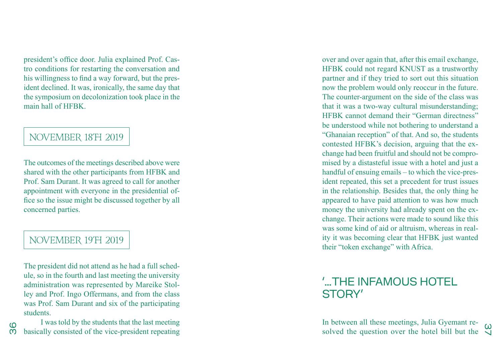president's office door. Julia explained Prof. Cas tro conditions for restarting the conversation and his willingness to find a way forward, but the pres ident declined. It was, ironically, the same day that the symposium on decolonization took place in the main hall of HFBK.

#### NOVEMBER 18TH 2019

The outcomes of the meetings described above were shared with the other participants from HFBK and Prof. Sam Durant. It was agreed to call for another appointment with everyone in the presidential office so the issue might be discussed together by all concerned parties.

#### NOVEMBER 19TH 2019

36

The president did not attend as he had a full sched ule, so in the fourth and last meeting the university administration was represented by Mareike Stol ley and Prof. Ingo Offermans, and from the class was Prof. Sam Durant and six of the participating students.

I was told by the students that the last meeting basically consisted of the vice-president repeating

over and over again that, after this email exchange, HFBK could not regard KNUST as a trustworthy partner and if they tried to sort out this situation now the problem would only reoccur in the future. The counter-argument on the side of the class was that it was a two-way cultural misunderstanding; HFBK cannot demand their "German directness" be understood while not bothering to understand a "Ghanaian reception" of that. And so, the students contested HFBK's decision, arguing that the ex change had been fruitful and should not be compro mised by a distasteful issue with a hotel and just a handful of ensuing emails – to which the vice-president repeated, this set a precedent for trust issues in the relationship. Besides that, the only thing he appeared to have paid attention to was how much money the university had already spent on the ex change. Their actions were made to sound like this was some kind of aid or altruism, whereas in real ity it was becoming clear that HFBK just wanted their "token exchange" with Africa.

# '… THE INFAMOUS HOTEL STORY'

solved the question over the hotel bill but the  $\frac{\omega}{\sqrt{2}}$ In between all these meetings, Julia Gyemant re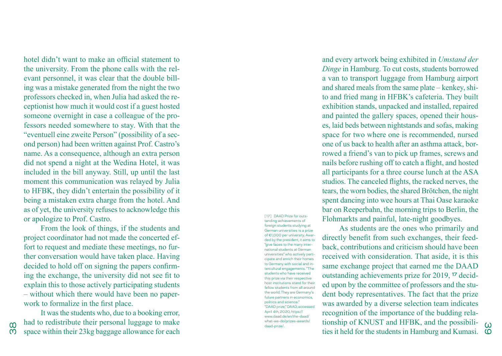hotel didn't want to make an official statement to the university. From the phone calls with the rel evant personnel, it was clear that the double bill ing was a mistake generated from the night the two professors checked in, when Julia had asked the re ceptionist how much it would cost if a guest hosted someone overnight in case a colleague of the pro fessors needed somewhere to stay. With that the "eventuell eine zweite Person" (possibility of a sec ond person) had been written against Prof. Castro's name. As a consequence, although an extra person did not spend a night at the Wedina Hotel, it was included in the bill anyway. Still, up until the last moment this communication was relayed by Julia to HFBK, they didn't entertain the possibility of it being a mistaken extra charge from the hotel. And as of yet, the university refuses to acknowledge this or apologize to Prof. Castro.

From the look of things, if the students and project coordinator had not made the concerted effort to request and mediate these meetings, no further conversation would have taken place. Having decided to hold off on signing the papers confirm ing the exchange, the university did not see fit to explain this to those actively participating students – without which there would have been no paper work to formalize in the first place.

It was the students who, due to a booking error, had to redistribute their personal luggage to make space within their 23kg baggage allowance for each

38

[ 17 ] DAAD Prize for outs tanding achievements of foreign students studying at German universities is a prize of €1,000 per university. Awar ded by the president, it aims to "give faces to the many inter national students at German universities" who actively parti cipate and enrich their homes to Germany with social and in tercultural engagements. "The students who have received this prize via their respective host institutions stand for their fellow students from all around the world. They are Germany's future partners in economics, politics and science." "DAAD prize," DAAD, accessed April 4th, 2020, https:// www.daad.de/en/the-daad/ what-we-do/prizes-awards/ daad-prize/.

and every artwork being exhibited in *Umstand der Dinge* in Hamburg. To cut costs, students borrowed a van to transport luggage from Hamburg airport and shared meals from the same plate – kenkey, shi to and fried mang in HFBK's cafeteria. They built exhibition stands, unpacked and installed, repaired and painted the gallery spaces, opened their hous es, laid beds between nightstands and sofas, making space for two where one is recommended, nursed one of us back to health after an asthma attack, bor rowed a friend's van to pick up frames, screws and nails before rushing off to catch a flight, and hosted all participants for a three course lunch at the ASA studios. The canceled flights, the racked nerves, the tears, the worn bodies, the shared Brötchen, the night spent dancing into wee hours at Thai Oase karaoke bar on Reeperbahn, the morning trips to Berlin, the Flohmarkts and painful, late-night goodbyes.

As students are the ones who primarily and directly benefit from such exchanges, their feedback, contributions and criticism should have been received with consideration. That aside, it is this same exchange project that earned me the DAAD outstanding achievements prize for 2019, 17 decid ed upon by the committee of professors and the stu dent body representatives. The fact that the prize was awarded by a diverse selection team indicates recognition of the importance of the budding rela tionship of KNUST and HFBK, and the possibili ties it held for the students in Hamburg and Kumasi.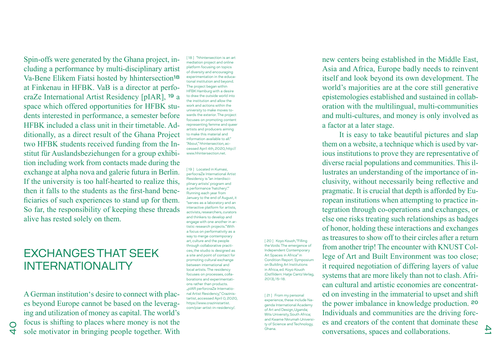Spin-offs were generated by the Ghana project, including a performance by multi-disciplinary artist Va-Bene Elikem Fiatsi hosted by hhintersection18 at Finkenau in HFBK. VaB is a director at perfocraZe International Artist Residency [pIAR], 19 a space which offered opportunities for HFBK students interested in performance, a semester before HFBK included a class unit in their timetable. Additionally, as a direct result of the Ghana Project two HFBK students received funding from the Institut für Auslandsbeziehungen for a group exhibition including work from contacts made during the exchange at alpha nova and galerie futura in Berlin. If the university is too half-hearted to realize this, then it falls to the students as the first-hand beneficiaries of such experiences to stand up for them. So far, the responsibility of keeping these threads alive has rested solely on them.

# EXCHANGES THAT SEEK INTERNATIONALITY

A German institution's desire to connect with places beyond Europe cannot be based on the leveraging and utilization of money as capital. The world's focus is shifting to places where money is not the sole motivator in bringing people together. With

 $\frac{1}{2}$ 

[18] "hhintersection is an art mediation project and online platform focusing on topics of diversity and encouraging experimentation in the educational institution and beyond. The project began within HFBK Hamburg with a desire to draw the outside world into the institution and allow the work and actions within the university to make moves towards the exterior. The project focuses on promoting content representing femme and queer artists and producers aiming to make this material and information available to all. "About," hhintersection, accessed April 4th, 2020, http:// www.hhintersection.net.

[19] Located in Kumasi, perfocraZe International Artist Residency is "an interdisciplinary artists' program and a performance 'hatchery'." Running each year from January to the end of August, it "serves as a laboratory and an interactive platform for artists, activists, researchers, curators and thinkers to develop and engage with one another in artistic research projects." With a focus on performativity as a way to merge contemporary art, culture and the people through collaborative practices, the studio is designed as a site and point of contact for promoting cultural exchange between international and local artists. The residency focuses on processes, collaborations and experimentations rather than products. "pIAR perforcraZe International Artist Residency," Crazinistartist, accessed April 0, 2020, https://www.crazinistartist. com/piar-artist-in-residency/.

[ 20 ] Koyo Kouoh, "Filling the Voids: The emergence of Independent Contemporary Art Spaces in Africa" in Condition Report: Symposium on Building Art Institutions in Africa, ed. Koyo Kouoh (Ostfildern: Hatje Cantz Verlag, 2013), 15-18.

[ 21 ] From my personal experience, these include Nagenda International Academy of Art and Design, Uganda; Wits University, South Africa; and Kwame Nkrumah University of Science and Technology, Ghana.

new centers being established in the Middle East, Asia and Africa, Europe badly needs to reinvent itself and look beyond its own development. The world's majorities are at the core still generative epistemologies established and sustained in collaboration with the multilingual, multi-communities and multi-cultures, and money is only involved as a factor at a later stage.

It is easy to take beautiful pictures and slap them on a website, a technique which is used by various institutions to prove they are representative of diverse racial populations and communities. This illustrates an understanding of the importance of inclusivity, without necessarily being reflective and pragmatic. It is crucial that depth is afforded by European institutions when attempting to practice integration through co-operations and exchanges, or else one risks treating such relationships as badges of honor, holding these interactions and exchanges as treasures to show off to their circles after a return from another trip! The encounter with KNUST College of Art and Built Environment was too close; it required negotiation of differing layers of value systems that are more likely than not to clash. African cultural and artistic economies are concentrated on investing in the immaterial to upset and shift the power imbalance in knowledge production. 20 Individuals and communities are the driving forces and creators of the content that dominate these conversations, spaces and collaborations.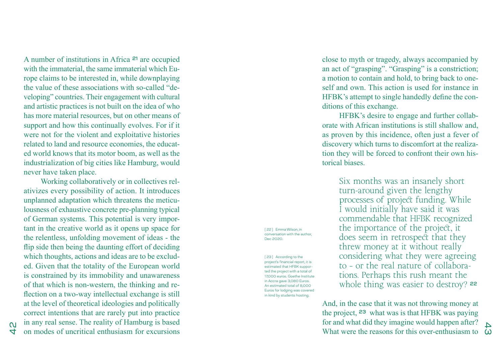A number of institutions in Africa 21 are occupied with the immaterial, the same immaterial which Eu rope claims to be interested in, while downplaying the value of these associations with so-called "de veloping" countries. Their engagement with cultural and artistic practices is not built on the idea of who has more material resources, but on other means of support and how this continually evolves. For if it were not for the violent and exploitative histories related to land and resource economies, the educat ed world knows that its motor boom, as well as the industrialization of big cities like Hamburg, would never have taken place.

Working collaboratively or in collectives rel ativizes every possibility of action. It introduces unplanned adaptation which threatens the meticu lousness of exhaustive concrete pre-planning typical of German systems. This potential is very impor tant in the creative world as it opens up space for the relentless, unfolding movement of ideas - the flip side then being the daunting effort of deciding which thoughts, actions and ideas are to be exclud ed. Given that the totality of the European world is constrained by its immobility and unawareness of that which is non-western, the thinking and re flection on a two-way intellectual exchange is still at the level of theoretical ideologies and politically correct intentions that are rarely put into practice in any real sense. The reality of Hamburg is based on modes of uncritical enthusiasm for excursions

close to myth or tragedy, always accompanied by an act of "grasping". "Grasping" is a constriction; a motion to contain and hold, to bring back to one self and own. This action is used for instance in HFBK's attempt to single handedly define the con ditions of this exchange.

HFBK's desire to engage and further collab orate with African institutions is still shallow and, as proven by this incidence, often just a fever of discovery which turns to discomfort at the realiza tion they will be forced to confront their own his torical biases.

> Six months was an insanely short turn-around given the lengthy processes of project funding. While I would initially have said it was commendable that HFBK recognized the importance of the project, it does seem in retrospect that they threw money at it without really considering what they were agreeing to – or the real nature of collabora tions. Perhaps this rush meant the whole thing was easier to destroy? 22

What were the reasons for this over-enthusiasm to  $\omega$ And, in the case that it was not throwing money at the project, 23 what was is that HFBK was paying for and what did they imagine would happen after?

[ 22 ] Emma Wilson, in conversation with the author, Dec 2020.

[23] According to the project's financial report, it is estimated that HFBK suppor ted the project with a total of 17,000 euros. Goethe Institute in Accra gave 3,080 Euros. An estimated total of 8,000 Euros for lodging was covered in kind by students hosting.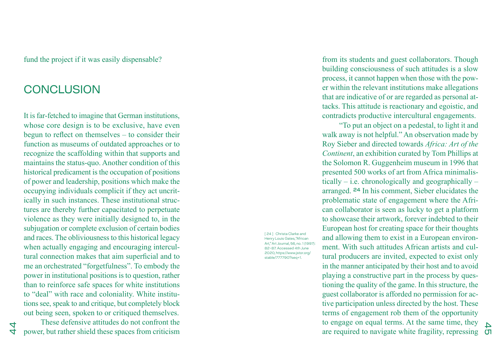fund the project if it was easily dispensable?

# **CONCLUSION**

It is far-fetched to imagine that German institutions, whose core design is to be exclusive, have even begun to reflect on themselves – to consider their function as museums of outdated approaches or to recognize the scaffolding within that supports and maintains the status-quo. Another condition of this historical predicament is the occupation of positions of power and leadership, positions which make the occupying individuals complicit if they act uncrit ically in such instances. These institutional struc tures are thereby further capacitated to perpetuate violence as they were initially designed to, in the subjugation or complete exclusion of certain bodies and races. The obliviousness to this historical legacy when actually engaging and encouraging intercul tural connection makes that aim superficial and to me an orchestrated "forgetfulness". To embody the power in institutional positions is to question, rather than to reinforce safe spaces for white institutions to "deal" with race and coloniality. White institu tions see, speak to and critique, but completely block out being seen, spoken to or critiqued themselves.

These defensive attitudes do not confront the power, but rather shield these spaces from criticism

 $\overline{4}$ 

[ 24 ] Christa Clarke and Henry Louis Gates, "African Art," Art Journal, 56, no. 1 (1997): 82-87. Accessed 4th June 2020, https://www.jstor.org/ stable/777790?seq=1.

from its students and guest collaborators. Though building consciousness of such attitudes is a slow process, it cannot happen when those with the pow er within the relevant institutions make allegations that are indicative of or are regarded as personal at tacks. This attitude is reactionary and egoistic, and contradicts productive intercultural engagements.

are required to navigate white fragility, repressing  $\sigma$ "To put an object on a pedestal, to light it and walk away is not helpful." An observation made by Roy Sieber and directed towards *Africa: Art of the Continent*, an exhibition curated by Tom Phillips at the Solomon R. Guggenheim museum in 1996 that presented 500 works of art from Africa minimalis tically  $-$  i.e. chronologically and geographically  $$ arranged. 24 In his comment, Sieber elucidates the problematic state of engagement where the Afri can collaborator is seen as lucky to get a platform to showcase their artwork, forever indebted to their European host for creating space for their thoughts and allowing them to exist in a European environ ment. With such attitudes African artists and cul tural producers are invited, expected to exist only in the manner anticipated by their host and to avoid playing a constructive part in the process by ques tioning the quality of the game. In this structure, the guest collaborator is afforded no permission for ac tive participation unless directed by the host. These terms of engagement rob them of the opportunity to engage on equal terms. At the same time, they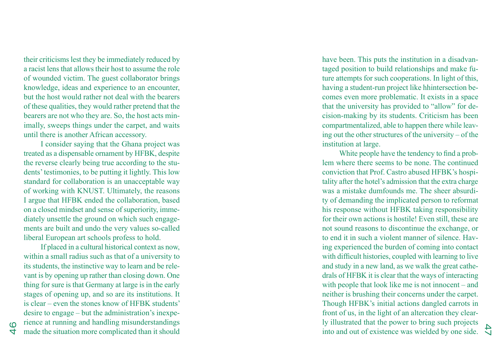their criticisms lest they be immediately reduced by a racist lens that allows their host to assume the role of wounded victim. The guest collaborator brings knowledge, ideas and experience to an encounter, but the host would rather not deal with the bearers of these qualities, they would rather pretend that the bearers are not who they are. So, the host acts min imally, sweeps things under the carpet, and waits until there is another African accessory.

I consider saying that the Ghana project was treated as a dispensable ornament by HFBK, despite the reverse clearly being true according to the stu dents' testimonies, to be putting it lightly. This low standard for collaboration is an unacceptable way of working with KNUST. Ultimately, the reasons I argue that HFBK ended the collaboration, based on a closed mindset and sense of superiority, imme diately unsettle the ground on which such engage ments are built and undo the very values so-called liberal European art schools profess to hold.

If placed in a cultural historical context as now, within a small radius such as that of a university to its students, the instinctive way to learn and be rele vant is by opening up rather than closing down. One thing for sure is that Germany at large is in the early stages of opening up, and so are its institutions. It is clear – even the stones know of HFBK students' desire to engage – but the administration's inexpe rience at running and handling misunderstandings made the situation more complicated than it should

have been. This puts the institution in a disadvantaged position to build relationships and make fu ture attempts for such cooperations. In light of this, having a student-run project like hhintersection be comes even more problematic. It exists in a space that the university has provided to "allow" for de cision-making by its students. Criticism has been compartmentalized, able to happen there while leav ing out the other structures of the university – of the institution at large.

into and out of existence was wielded by one side. White people have the tendency to find a prob lem where there seems to be none. The continued conviction that Prof. Castro abused HFBK's hospi tality after the hotel's admission that the extra charge was a mistake dumfounds me. The sheer absurdi ty of demanding the implicated person to reformat his response without HFBK taking responsibility for their own actions is hostile! Even still, these are not sound reasons to discontinue the exchange, or to end it in such a violent manner of silence. Hav ing experienced the burden of coming into contact with difficult histories, coupled with learning to live and study in a new land, as we walk the great cathe drals of HFBK it is clear that the ways of interacting with people that look like me is not innocent – and neither is brushing their concerns under the carpet. Though HFBK's initial actions dangled carrots in front of us, in the light of an altercation they clearly illustrated that the power to bring such projects

46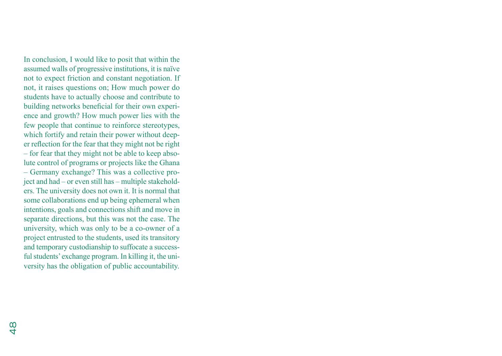In conclusion, I would like to posit that within the assumed walls of progressive institutions, it is naïve not to expect friction and constant negotiation. If not, it raises questions on; How much power do students have to actually choose and contribute to building networks beneficial for their own experience and growth? How much power lies with the few people that continue to reinforce stereotypes, which fortify and retain their power without deeper reflection for the fear that they might not be right – for fear that they might not be able to keep absolute control of programs or projects like the Ghana – Germany exchange? This was a collective project and had – or even still has – multiple stakeholders. The university does not own it. It is normal that some collaborations end up being ephemeral when intentions, goals and connections shift and move in separate directions, but this was not the case. The university, which was only to be a co-owner of a project entrusted to the students, used its transitory and temporary custodianship to suffocate a successful students' exchange program. In killing it, the university has the obligation of public accountability.